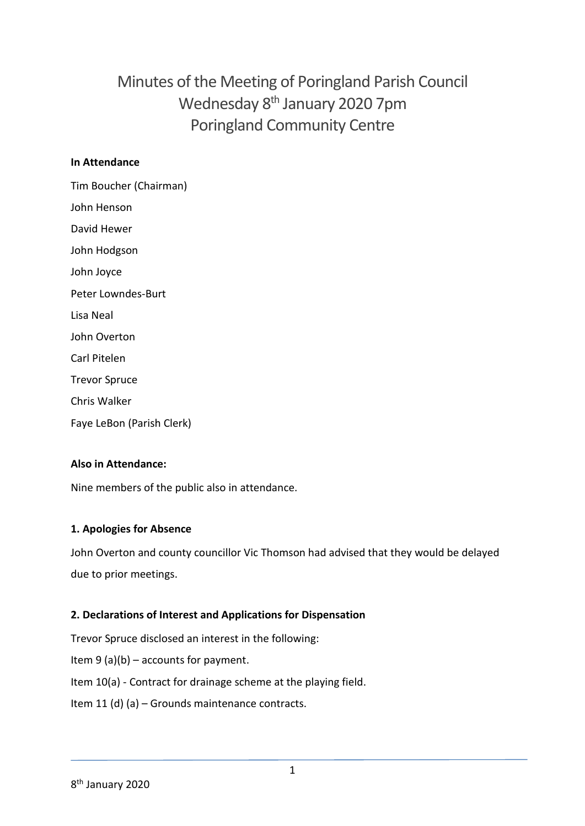# Minutes of the Meeting of Poringland Parish Council Wednesday 8<sup>th</sup> January 2020 7pm Poringland Community Centre

## **In Attendance**

Tim Boucher (Chairman) John Henson David Hewer John Hodgson John Joyce Peter Lowndes-Burt Lisa Neal John Overton Carl Pitelen Trevor Spruce Chris Walker Faye LeBon (Parish Clerk)

## **Also in Attendance:**

Nine members of the public also in attendance.

### **1. Apologies for Absence**

John Overton and county councillor Vic Thomson had advised that they would be delayed due to prior meetings.

## **2. Declarations of Interest and Applications for Dispensation**

Trevor Spruce disclosed an interest in the following: Item  $9(a)(b)$  – accounts for payment. Item 10(a) - Contract for drainage scheme at the playing field. Item 11 (d) (a) – Grounds maintenance contracts.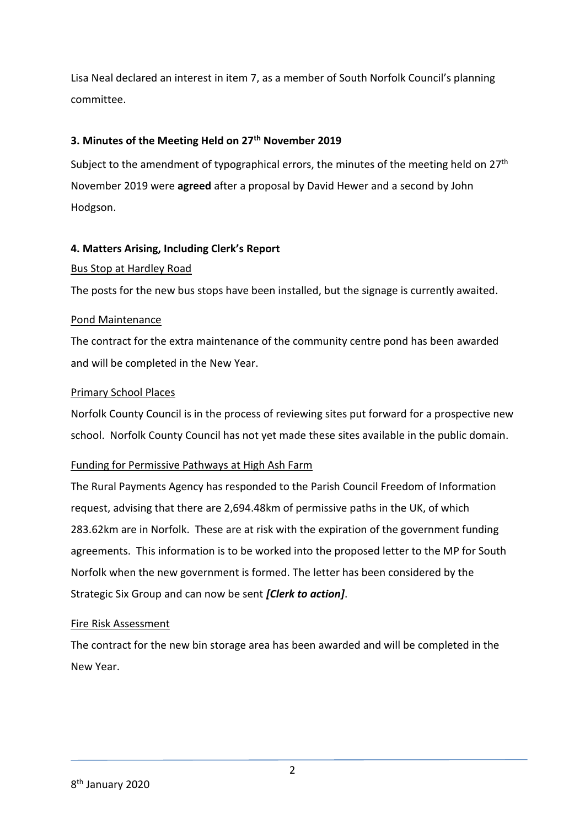Lisa Neal declared an interest in item 7, as a member of South Norfolk Council's planning committee.

### **3. Minutes of the Meeting Held on 27th November 2019**

Subject to the amendment of typographical errors, the minutes of the meeting held on  $27<sup>th</sup>$ November 2019 were **agreed** after a proposal by David Hewer and a second by John Hodgson.

## **4. Matters Arising, Including Clerk's Report**

### Bus Stop at Hardley Road

The posts for the new bus stops have been installed, but the signage is currently awaited.

## Pond Maintenance

The contract for the extra maintenance of the community centre pond has been awarded and will be completed in the New Year.

## Primary School Places

Norfolk County Council is in the process of reviewing sites put forward for a prospective new school. Norfolk County Council has not yet made these sites available in the public domain.

### Funding for Permissive Pathways at High Ash Farm

The Rural Payments Agency has responded to the Parish Council Freedom of Information request, advising that there are 2,694.48km of permissive paths in the UK, of which 283.62km are in Norfolk. These are at risk with the expiration of the government funding agreements. This information is to be worked into the proposed letter to the MP for South Norfolk when the new government is formed. The letter has been considered by the Strategic Six Group and can now be sent *[Clerk to action]*.

### Fire Risk Assessment

The contract for the new bin storage area has been awarded and will be completed in the New Year.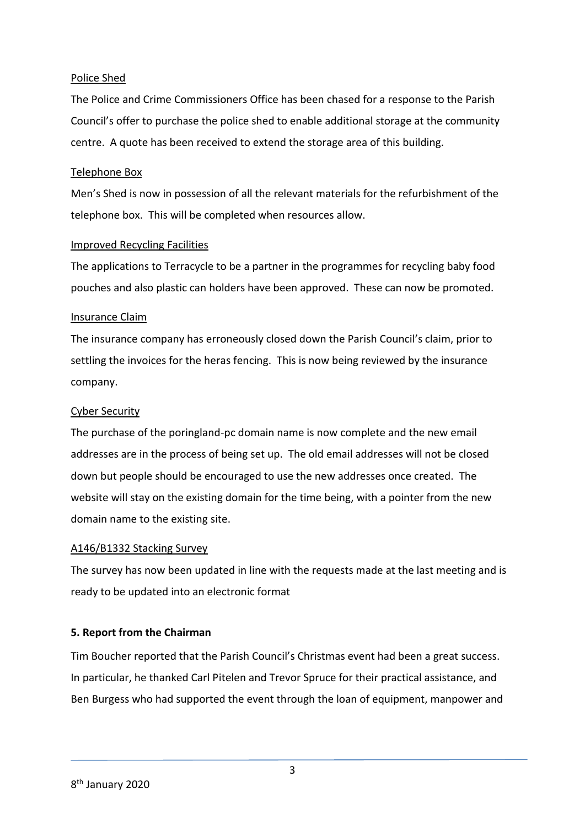### Police Shed

The Police and Crime Commissioners Office has been chased for a response to the Parish Council's offer to purchase the police shed to enable additional storage at the community centre. A quote has been received to extend the storage area of this building.

### Telephone Box

Men's Shed is now in possession of all the relevant materials for the refurbishment of the telephone box. This will be completed when resources allow.

### Improved Recycling Facilities

The applications to Terracycle to be a partner in the programmes for recycling baby food pouches and also plastic can holders have been approved. These can now be promoted.

### Insurance Claim

The insurance company has erroneously closed down the Parish Council's claim, prior to settling the invoices for the heras fencing. This is now being reviewed by the insurance company.

### Cyber Security

The purchase of the poringland-pc domain name is now complete and the new email addresses are in the process of being set up. The old email addresses will not be closed down but people should be encouraged to use the new addresses once created. The website will stay on the existing domain for the time being, with a pointer from the new domain name to the existing site.

### A146/B1332 Stacking Survey

The survey has now been updated in line with the requests made at the last meeting and is ready to be updated into an electronic format

### **5. Report from the Chairman**

Tim Boucher reported that the Parish Council's Christmas event had been a great success. In particular, he thanked Carl Pitelen and Trevor Spruce for their practical assistance, and Ben Burgess who had supported the event through the loan of equipment, manpower and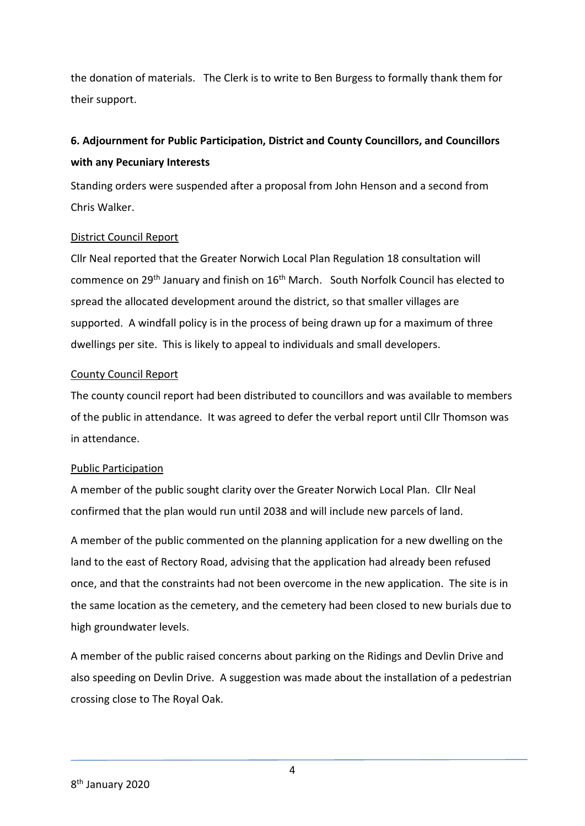the donation of materials. The Clerk is to write to Ben Burgess to formally thank them for their support.

## **6. Adjournment for Public Participation, District and County Councillors, and Councillors with any Pecuniary Interests**

Standing orders were suspended after a proposal from John Henson and a second from Chris Walker.

## District Council Report

Cllr Neal reported that the Greater Norwich Local Plan Regulation 18 consultation will commence on 29th January and finish on 16th March. South Norfolk Council has elected to spread the allocated development around the district, so that smaller villages are supported. A windfall policy is in the process of being drawn up for a maximum of three dwellings per site. This is likely to appeal to individuals and small developers.

### County Council Report

The county council report had been distributed to councillors and was available to members of the public in attendance. It was agreed to defer the verbal report until Cllr Thomson was in attendance.

### Public Participation

A member of the public sought clarity over the Greater Norwich Local Plan. Cllr Neal confirmed that the plan would run until 2038 and will include new parcels of land.

A member of the public commented on the planning application for a new dwelling on the land to the east of Rectory Road, advising that the application had already been refused once, and that the constraints had not been overcome in the new application. The site is in the same location as the cemetery, and the cemetery had been closed to new burials due to high groundwater levels.

A member of the public raised concerns about parking on the Ridings and Devlin Drive and also speeding on Devlin Drive. A suggestion was made about the installation of a pedestrian crossing close to The Royal Oak.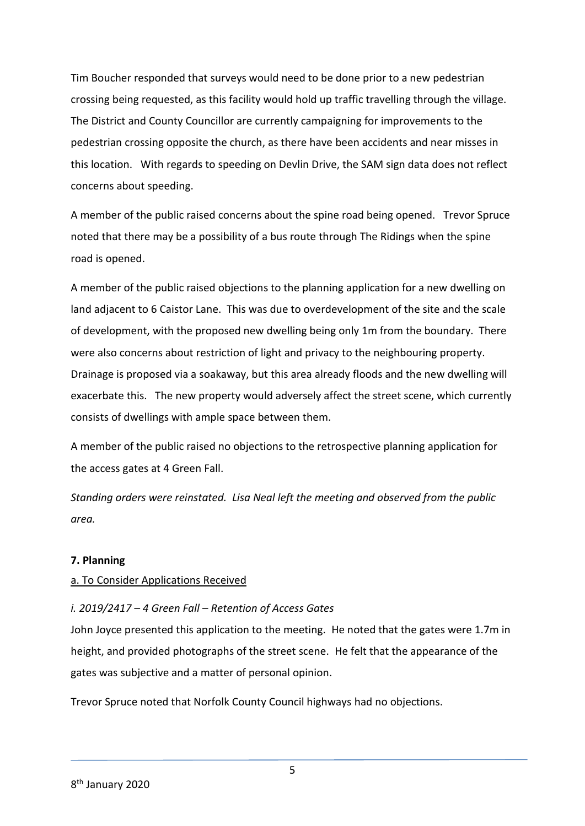Tim Boucher responded that surveys would need to be done prior to a new pedestrian crossing being requested, as this facility would hold up traffic travelling through the village. The District and County Councillor are currently campaigning for improvements to the pedestrian crossing opposite the church, as there have been accidents and near misses in this location. With regards to speeding on Devlin Drive, the SAM sign data does not reflect concerns about speeding.

A member of the public raised concerns about the spine road being opened. Trevor Spruce noted that there may be a possibility of a bus route through The Ridings when the spine road is opened.

A member of the public raised objections to the planning application for a new dwelling on land adjacent to 6 Caistor Lane. This was due to overdevelopment of the site and the scale of development, with the proposed new dwelling being only 1m from the boundary. There were also concerns about restriction of light and privacy to the neighbouring property. Drainage is proposed via a soakaway, but this area already floods and the new dwelling will exacerbate this. The new property would adversely affect the street scene, which currently consists of dwellings with ample space between them.

A member of the public raised no objections to the retrospective planning application for the access gates at 4 Green Fall.

*Standing orders were reinstated. Lisa Neal left the meeting and observed from the public area.*

### **7. Planning**

### a. To Consider Applications Received

### *i. 2019/2417 – 4 Green Fall – Retention of Access Gates*

John Joyce presented this application to the meeting. He noted that the gates were 1.7m in height, and provided photographs of the street scene. He felt that the appearance of the gates was subjective and a matter of personal opinion.

Trevor Spruce noted that Norfolk County Council highways had no objections.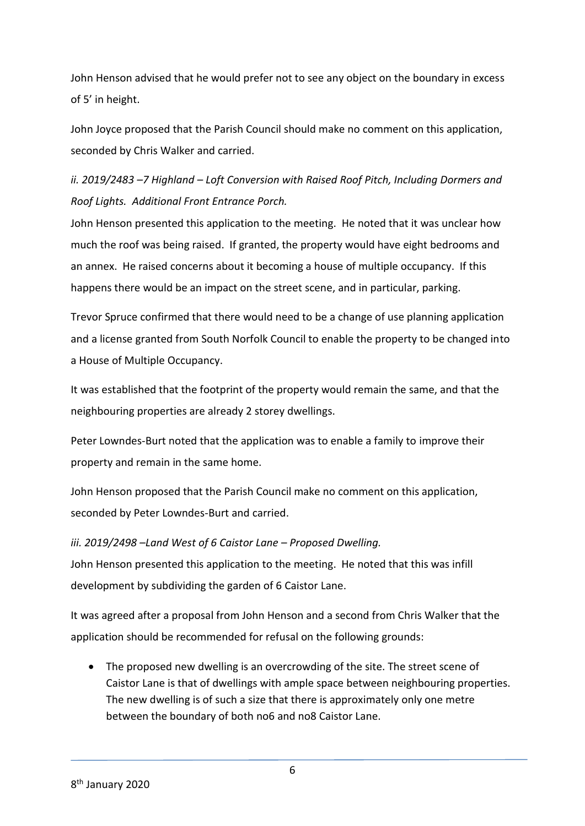John Henson advised that he would prefer not to see any object on the boundary in excess of 5' in height.

John Joyce proposed that the Parish Council should make no comment on this application, seconded by Chris Walker and carried.

## *ii. 2019/2483 -7 Highland - Loft Conversion with Raised Roof Pitch, Including Dormers and Roof Lights. Additional Front Entrance Porch.*

John Henson presented this application to the meeting. He noted that it was unclear how much the roof was being raised. If granted, the property would have eight bedrooms and an annex. He raised concerns about it becoming a house of multiple occupancy. If this happens there would be an impact on the street scene, and in particular, parking.

Trevor Spruce confirmed that there would need to be a change of use planning application and a license granted from South Norfolk Council to enable the property to be changed into a House of Multiple Occupancy.

It was established that the footprint of the property would remain the same, and that the neighbouring properties are already 2 storey dwellings.

Peter Lowndes-Burt noted that the application was to enable a family to improve their property and remain in the same home.

John Henson proposed that the Parish Council make no comment on this application, seconded by Peter Lowndes-Burt and carried.

*iii. 2019/2498 –Land West of 6 Caistor Lane – Proposed Dwelling.*  John Henson presented this application to the meeting. He noted that this was infill development by subdividing the garden of 6 Caistor Lane.

It was agreed after a proposal from John Henson and a second from Chris Walker that the application should be recommended for refusal on the following grounds:

 The proposed new dwelling is an overcrowding of the site. The street scene of Caistor Lane is that of dwellings with ample space between neighbouring properties. The new dwelling is of such a size that there is approximately only one metre between the boundary of both no6 and no8 Caistor Lane.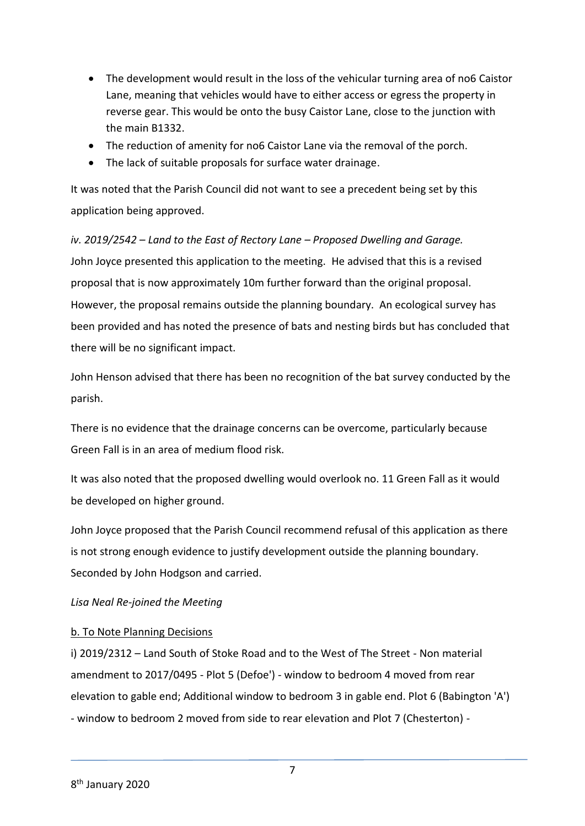- The development would result in the loss of the vehicular turning area of no6 Caistor Lane, meaning that vehicles would have to either access or egress the property in reverse gear. This would be onto the busy Caistor Lane, close to the junction with the main B1332.
- The reduction of amenity for no6 Caistor Lane via the removal of the porch.
- The lack of suitable proposals for surface water drainage.

It was noted that the Parish Council did not want to see a precedent being set by this application being approved.

*iv. 2019/2542 – Land to the East of Rectory Lane – Proposed Dwelling and Garage.* John Joyce presented this application to the meeting. He advised that this is a revised proposal that is now approximately 10m further forward than the original proposal. However, the proposal remains outside the planning boundary. An ecological survey has been provided and has noted the presence of bats and nesting birds but has concluded that there will be no significant impact.

John Henson advised that there has been no recognition of the bat survey conducted by the parish.

There is no evidence that the drainage concerns can be overcome, particularly because Green Fall is in an area of medium flood risk.

It was also noted that the proposed dwelling would overlook no. 11 Green Fall as it would be developed on higher ground.

John Joyce proposed that the Parish Council recommend refusal of this application as there is not strong enough evidence to justify development outside the planning boundary. Seconded by John Hodgson and carried.

### *Lisa Neal Re-joined the Meeting*

### b. To Note Planning Decisions

i) 2019/2312 – Land South of Stoke Road and to the West of The Street - Non material amendment to 2017/0495 - Plot 5 (Defoe') - window to bedroom 4 moved from rear elevation to gable end; Additional window to bedroom 3 in gable end. Plot 6 (Babington 'A') - window to bedroom 2 moved from side to rear elevation and Plot 7 (Chesterton) -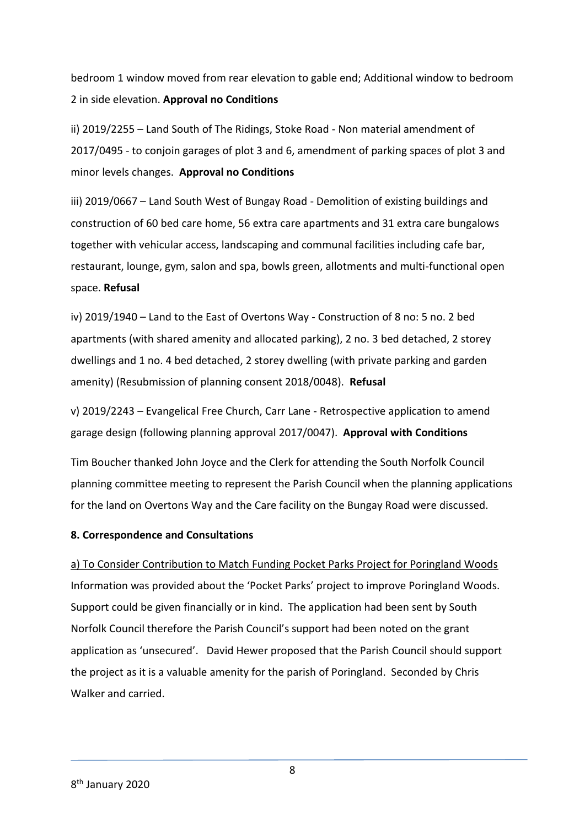bedroom 1 window moved from rear elevation to gable end; Additional window to bedroom 2 in side elevation. **Approval no Conditions**

ii) 2019/2255 – Land South of The Ridings, Stoke Road - Non material amendment of 2017/0495 - to conjoin garages of plot 3 and 6, amendment of parking spaces of plot 3 and minor levels changes. **Approval no Conditions**

iii) 2019/0667 – Land South West of Bungay Road - Demolition of existing buildings and construction of 60 bed care home, 56 extra care apartments and 31 extra care bungalows together with vehicular access, landscaping and communal facilities including cafe bar, restaurant, lounge, gym, salon and spa, bowls green, allotments and multi-functional open space. **Refusal**

iv) 2019/1940 – Land to the East of Overtons Way - Construction of 8 no: 5 no. 2 bed apartments (with shared amenity and allocated parking), 2 no. 3 bed detached, 2 storey dwellings and 1 no. 4 bed detached, 2 storey dwelling (with private parking and garden amenity) (Resubmission of planning consent 2018/0048). **Refusal**

v) 2019/2243 – Evangelical Free Church, Carr Lane - Retrospective application to amend garage design (following planning approval 2017/0047). **Approval with Conditions**

Tim Boucher thanked John Joyce and the Clerk for attending the South Norfolk Council planning committee meeting to represent the Parish Council when the planning applications for the land on Overtons Way and the Care facility on the Bungay Road were discussed.

### **8. Correspondence and Consultations**

a) To Consider Contribution to Match Funding Pocket Parks Project for Poringland Woods Information was provided about the 'Pocket Parks' project to improve Poringland Woods. Support could be given financially or in kind. The application had been sent by South Norfolk Council therefore the Parish Council's support had been noted on the grant application as 'unsecured'. David Hewer proposed that the Parish Council should support the project as it is a valuable amenity for the parish of Poringland. Seconded by Chris Walker and carried.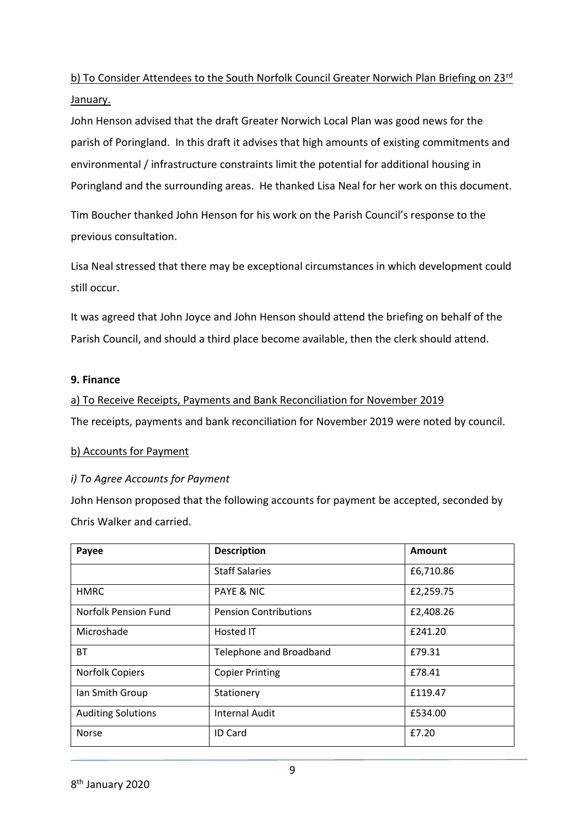## b) To Consider Attendees to the South Norfolk Council Greater Norwich Plan Briefing on 23rd January.

John Henson advised that the draft Greater Norwich Local Plan was good news for the parish of Poringland. In this draft it advises that high amounts of existing commitments and environmental / infrastructure constraints limit the potential for additional housing in Poringland and the surrounding areas. He thanked Lisa Neal for her work on this document.

Tim Boucher thanked John Henson for his work on the Parish Council's response to the previous consultation.

Lisa Neal stressed that there may be exceptional circumstances in which development could still occur.

It was agreed that John Joyce and John Henson should attend the briefing on behalf of the Parish Council, and should a third place become available, then the clerk should attend.

### **9. Finance**

a) To Receive Receipts, Payments and Bank Reconciliation for November 2019

The receipts, payments and bank reconciliation for November 2019 were noted by council.

### b) Accounts for Payment

### *i) To Agree Accounts for Payment*

John Henson proposed that the following accounts for payment be accepted, seconded by Chris Walker and carried.

| Payee                     | <b>Description</b>           | Amount    |
|---------------------------|------------------------------|-----------|
|                           | <b>Staff Salaries</b>        | £6,710.86 |
| <b>HMRC</b>               | <b>PAYE &amp; NIC</b>        | £2,259.75 |
| Norfolk Pension Fund      | <b>Pension Contributions</b> | £2,408.26 |
| Microshade                | Hosted IT                    | £241.20   |
| <b>BT</b>                 | Telephone and Broadband      | £79.31    |
| <b>Norfolk Copiers</b>    | <b>Copier Printing</b>       | £78.41    |
| Ian Smith Group           | Stationery                   | £119.47   |
| <b>Auditing Solutions</b> | <b>Internal Audit</b>        | £534.00   |
| Norse                     | <b>ID Card</b>               | £7.20     |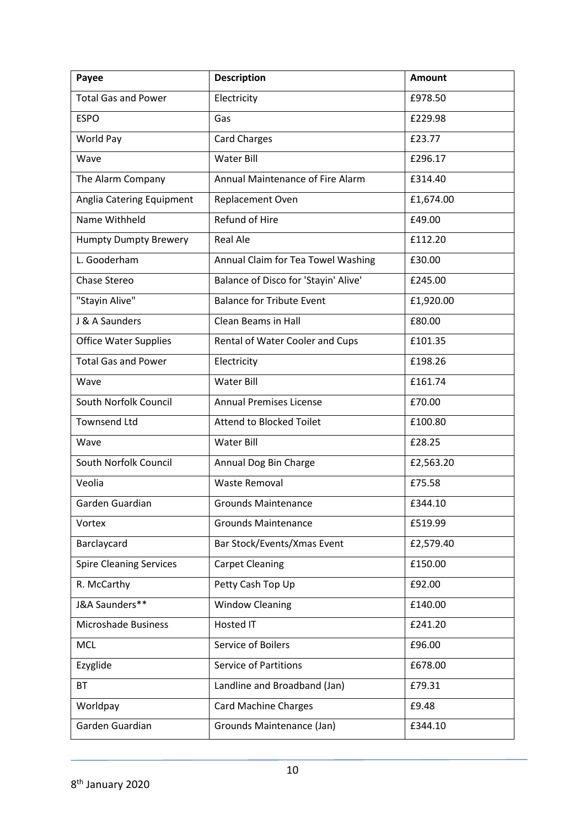| Payee                          | <b>Description</b>                   | Amount    |
|--------------------------------|--------------------------------------|-----------|
| <b>Total Gas and Power</b>     | Electricity                          | £978.50   |
| <b>ESPO</b>                    | Gas                                  | £229.98   |
| World Pay                      | <b>Card Charges</b>                  | £23.77    |
| Wave                           | <b>Water Bill</b>                    | £296.17   |
| The Alarm Company              | Annual Maintenance of Fire Alarm     | £314.40   |
| Anglia Catering Equipment      | Replacement Oven                     | £1,674.00 |
| Name Withheld                  | Refund of Hire                       | £49.00    |
| <b>Humpty Dumpty Brewery</b>   | <b>Real Ale</b>                      | £112.20   |
| L. Gooderham                   | Annual Claim for Tea Towel Washing   | £30.00    |
| Chase Stereo                   | Balance of Disco for 'Stayin' Alive' | £245.00   |
| "Stayin Alive"                 | <b>Balance for Tribute Event</b>     | £1,920.00 |
| J & A Saunders                 | <b>Clean Beams in Hall</b>           | £80.00    |
| <b>Office Water Supplies</b>   | Rental of Water Cooler and Cups      | £101.35   |
| <b>Total Gas and Power</b>     | Electricity                          | £198.26   |
| Wave                           | <b>Water Bill</b>                    | £161.74   |
| South Norfolk Council          | <b>Annual Premises License</b>       | £70.00    |
| <b>Townsend Ltd</b>            | <b>Attend to Blocked Toilet</b>      | £100.80   |
| Wave                           | <b>Water Bill</b>                    | £28.25    |
| South Norfolk Council          | Annual Dog Bin Charge                | £2,563.20 |
| Veolia                         | <b>Waste Removal</b>                 | £75.58    |
| Garden Guardian                | <b>Grounds Maintenance</b>           | £344.10   |
| Vortex                         | <b>Grounds Maintenance</b>           | £519.99   |
| Barclaycard                    | Bar Stock/Events/Xmas Event          | £2,579.40 |
| <b>Spire Cleaning Services</b> | <b>Carpet Cleaning</b>               | £150.00   |
| R. McCarthy                    | Petty Cash Top Up                    | £92.00    |
| J&A Saunders**                 | <b>Window Cleaning</b>               | £140.00   |
| <b>Microshade Business</b>     | Hosted IT                            | £241.20   |
| <b>MCL</b>                     | Service of Boilers                   | £96.00    |
| Ezyglide                       | <b>Service of Partitions</b>         | £678.00   |
| BT                             | Landline and Broadband (Jan)         | £79.31    |
| Worldpay                       | <b>Card Machine Charges</b>          | £9.48     |
| Garden Guardian                | Grounds Maintenance (Jan)            | £344.10   |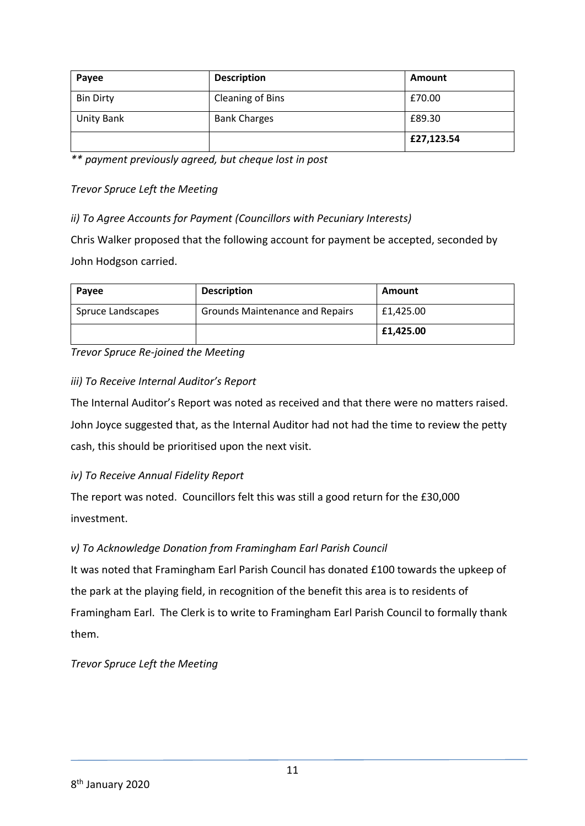| Payee            | <b>Description</b>      | Amount     |
|------------------|-------------------------|------------|
| <b>Bin Dirty</b> | <b>Cleaning of Bins</b> | £70.00     |
| Unity Bank       | <b>Bank Charges</b>     | £89.30     |
|                  |                         | £27,123.54 |

*\*\* payment previously agreed, but cheque lost in post*

*Trevor Spruce Left the Meeting*

*ii) To Agree Accounts for Payment (Councillors with Pecuniary Interests)*

Chris Walker proposed that the following account for payment be accepted, seconded by John Hodgson carried.

| Payee             | <b>Description</b>                     | Amount    |
|-------------------|----------------------------------------|-----------|
| Spruce Landscapes | <b>Grounds Maintenance and Repairs</b> | £1,425.00 |
|                   |                                        | £1,425.00 |

*Trevor Spruce Re-joined the Meeting*

## *iii) To Receive Internal Auditor's Report*

The Internal Auditor's Report was noted as received and that there were no matters raised. John Joyce suggested that, as the Internal Auditor had not had the time to review the petty cash, this should be prioritised upon the next visit.

## *iv) To Receive Annual Fidelity Report*

The report was noted. Councillors felt this was still a good return for the £30,000 investment.

## *v) To Acknowledge Donation from Framingham Earl Parish Council*

It was noted that Framingham Earl Parish Council has donated £100 towards the upkeep of the park at the playing field, in recognition of the benefit this area is to residents of Framingham Earl. The Clerk is to write to Framingham Earl Parish Council to formally thank them.

*Trevor Spruce Left the Meeting*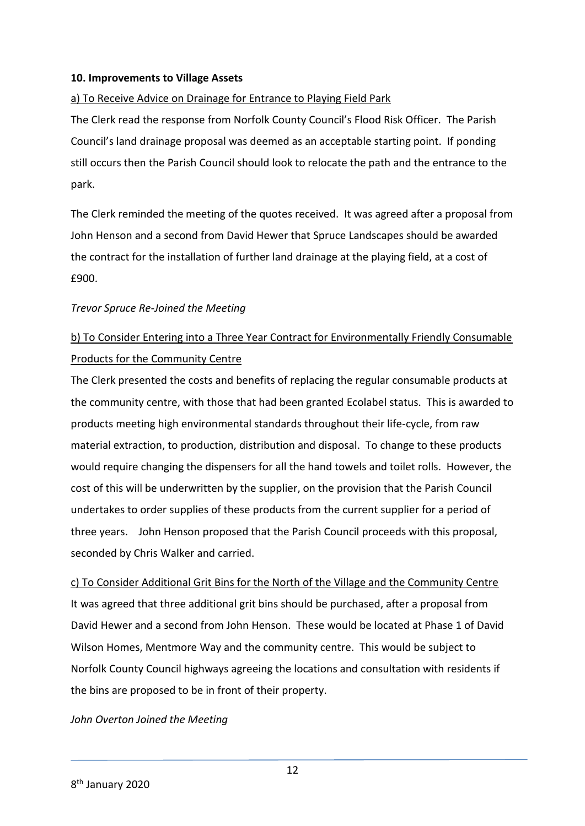### **10. Improvements to Village Assets**

### a) To Receive Advice on Drainage for Entrance to Playing Field Park

The Clerk read the response from Norfolk County Council's Flood Risk Officer. The Parish Council's land drainage proposal was deemed as an acceptable starting point. If ponding still occurs then the Parish Council should look to relocate the path and the entrance to the park.

The Clerk reminded the meeting of the quotes received. It was agreed after a proposal from John Henson and a second from David Hewer that Spruce Landscapes should be awarded the contract for the installation of further land drainage at the playing field, at a cost of £900.

### *Trevor Spruce Re-Joined the Meeting*

## b) To Consider Entering into a Three Year Contract for Environmentally Friendly Consumable Products for the Community Centre

The Clerk presented the costs and benefits of replacing the regular consumable products at the community centre, with those that had been granted Ecolabel status. This is awarded to products meeting high environmental standards throughout their life-cycle, from raw material extraction, to production, distribution and disposal. To change to these products would require changing the dispensers for all the hand towels and toilet rolls. However, the cost of this will be underwritten by the supplier, on the provision that the Parish Council undertakes to order supplies of these products from the current supplier for a period of three years. John Henson proposed that the Parish Council proceeds with this proposal, seconded by Chris Walker and carried.

c) To Consider Additional Grit Bins for the North of the Village and the Community Centre It was agreed that three additional grit bins should be purchased, after a proposal from David Hewer and a second from John Henson. These would be located at Phase 1 of David Wilson Homes, Mentmore Way and the community centre. This would be subject to Norfolk County Council highways agreeing the locations and consultation with residents if the bins are proposed to be in front of their property.

### *John Overton Joined the Meeting*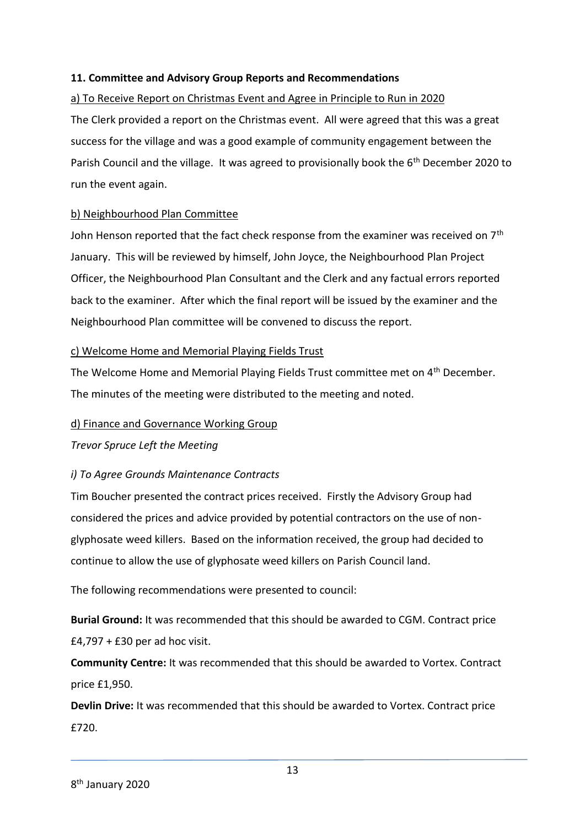### **11. Committee and Advisory Group Reports and Recommendations**

## a) To Receive Report on Christmas Event and Agree in Principle to Run in 2020 The Clerk provided a report on the Christmas event. All were agreed that this was a great success for the village and was a good example of community engagement between the Parish Council and the village. It was agreed to provisionally book the 6<sup>th</sup> December 2020 to run the event again.

### b) Neighbourhood Plan Committee

John Henson reported that the fact check response from the examiner was received on 7<sup>th</sup> January. This will be reviewed by himself, John Joyce, the Neighbourhood Plan Project Officer, the Neighbourhood Plan Consultant and the Clerk and any factual errors reported back to the examiner. After which the final report will be issued by the examiner and the Neighbourhood Plan committee will be convened to discuss the report.

### c) Welcome Home and Memorial Playing Fields Trust

The Welcome Home and Memorial Playing Fields Trust committee met on 4<sup>th</sup> December. The minutes of the meeting were distributed to the meeting and noted.

### d) Finance and Governance Working Group

*Trevor Spruce Left the Meeting*

### *i) To Agree Grounds Maintenance Contracts*

Tim Boucher presented the contract prices received. Firstly the Advisory Group had considered the prices and advice provided by potential contractors on the use of nonglyphosate weed killers. Based on the information received, the group had decided to continue to allow the use of glyphosate weed killers on Parish Council land.

The following recommendations were presented to council:

**Burial Ground:** It was recommended that this should be awarded to CGM. Contract price  $£4,797 + £30$  per ad hoc visit.

**Community Centre:** It was recommended that this should be awarded to Vortex. Contract price £1,950.

**Devlin Drive:** It was recommended that this should be awarded to Vortex. Contract price £720.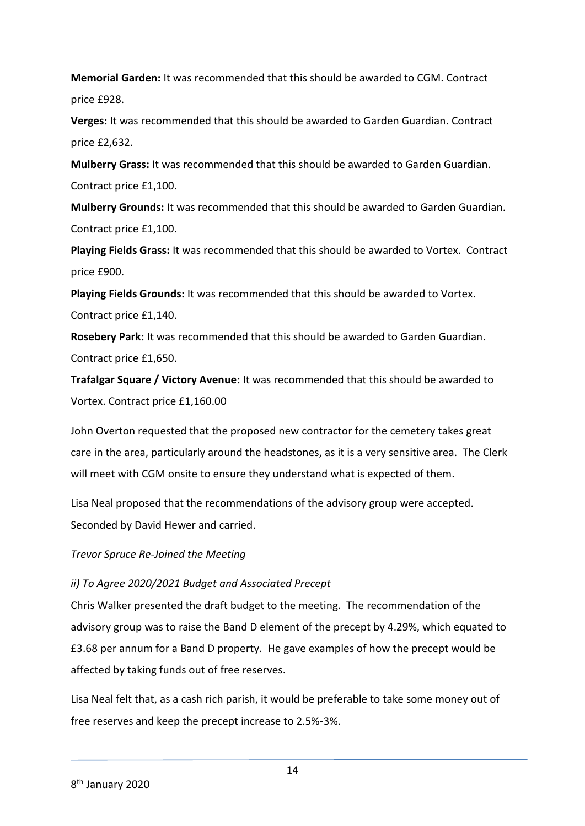**Memorial Garden:** It was recommended that this should be awarded to CGM. Contract price £928.

**Verges:** It was recommended that this should be awarded to Garden Guardian. Contract price £2,632.

**Mulberry Grass:** It was recommended that this should be awarded to Garden Guardian. Contract price £1,100.

**Mulberry Grounds:** It was recommended that this should be awarded to Garden Guardian. Contract price £1,100.

**Playing Fields Grass:** It was recommended that this should be awarded to Vortex. Contract price £900.

**Playing Fields Grounds:** It was recommended that this should be awarded to Vortex. Contract price £1,140.

**Rosebery Park:** It was recommended that this should be awarded to Garden Guardian. Contract price £1,650.

**Trafalgar Square / Victory Avenue:** It was recommended that this should be awarded to Vortex. Contract price £1,160.00

John Overton requested that the proposed new contractor for the cemetery takes great care in the area, particularly around the headstones, as it is a very sensitive area. The Clerk will meet with CGM onsite to ensure they understand what is expected of them.

Lisa Neal proposed that the recommendations of the advisory group were accepted. Seconded by David Hewer and carried.

*Trevor Spruce Re-Joined the Meeting*

### *ii) To Agree 2020/2021 Budget and Associated Precept*

Chris Walker presented the draft budget to the meeting. The recommendation of the advisory group was to raise the Band D element of the precept by 4.29%, which equated to £3.68 per annum for a Band D property. He gave examples of how the precept would be affected by taking funds out of free reserves.

Lisa Neal felt that, as a cash rich parish, it would be preferable to take some money out of free reserves and keep the precept increase to 2.5%-3%.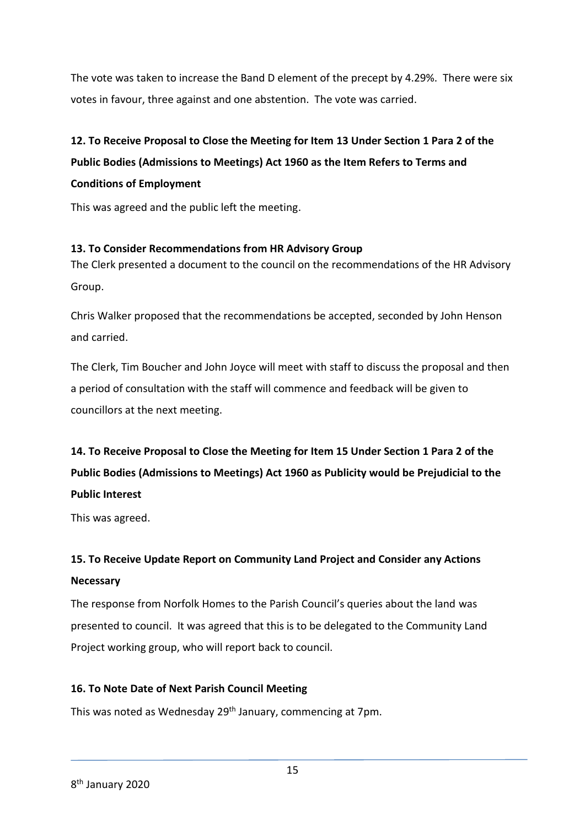The vote was taken to increase the Band D element of the precept by 4.29%. There were six votes in favour, three against and one abstention. The vote was carried.

## **12. To Receive Proposal to Close the Meeting for Item 13 Under Section 1 Para 2 of the Public Bodies (Admissions to Meetings) Act 1960 as the Item Refers to Terms and Conditions of Employment**

This was agreed and the public left the meeting.

## **13. To Consider Recommendations from HR Advisory Group**

The Clerk presented a document to the council on the recommendations of the HR Advisory Group.

Chris Walker proposed that the recommendations be accepted, seconded by John Henson and carried.

The Clerk, Tim Boucher and John Joyce will meet with staff to discuss the proposal and then a period of consultation with the staff will commence and feedback will be given to councillors at the next meeting.

## **14. To Receive Proposal to Close the Meeting for Item 15 Under Section 1 Para 2 of the Public Bodies (Admissions to Meetings) Act 1960 as Publicity would be Prejudicial to the Public Interest**

This was agreed.

## **15. To Receive Update Report on Community Land Project and Consider any Actions Necessary**

The response from Norfolk Homes to the Parish Council's queries about the land was presented to council. It was agreed that this is to be delegated to the Community Land Project working group, who will report back to council.

## **16. To Note Date of Next Parish Council Meeting**

This was noted as Wednesday 29<sup>th</sup> January, commencing at 7pm.